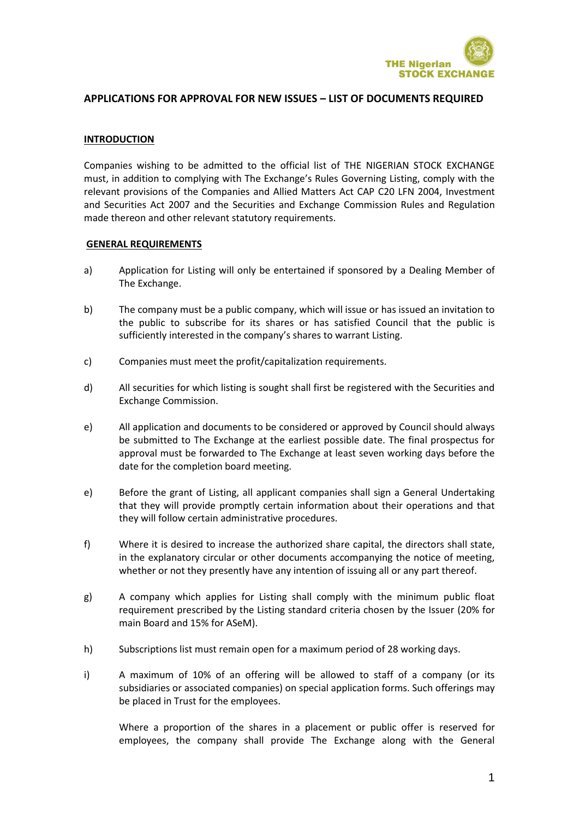

#### **INTRODUCTION**

Companies wishing to be admitted to the official list of THE NIGERIAN STOCK EXCHANGE must, in addition to complying with The Exchange's Rules Governing Listing, comply with the relevant provisions of the Companies and Allied Matters Act CAP C20 LFN 2004, Investment and Securities Act 2007 and the Securities and Exchange Commission Rules and Regulation made thereon and other relevant statutory requirements.

#### **GENERAL REQUIREMENTS**

- a) Application for Listing will only be entertained if sponsored by a Dealing Member of The Exchange.
- b) The company must be a public company, which will issue or has issued an invitation to the public to subscribe for its shares or has satisfied Council that the public is sufficiently interested in the company's shares to warrant Listing.
- c) Companies must meet the profit/capitalization requirements.
- d) All securities for which listing is sought shall first be registered with the Securities and Exchange Commission.
- e) All application and documents to be considered or approved by Council should always be submitted to The Exchange at the earliest possible date. The final prospectus for approval must be forwarded to The Exchange at least seven working days before the date for the completion board meeting.
- e) Before the grant of Listing, all applicant companies shall sign a General Undertaking that they will provide promptly certain information about their operations and that they will follow certain administrative procedures.
- f) Where it is desired to increase the authorized share capital, the directors shall state, in the explanatory circular or other documents accompanying the notice of meeting, whether or not they presently have any intention of issuing all or any part thereof.
- g) A company which applies for Listing shall comply with the minimum public float requirement prescribed by the Listing standard criteria chosen by the Issuer (20% for main Board and 15% for ASeM).
- h) Subscriptions list must remain open for a maximum period of 28 working days.
- i) A maximum of 10% of an offering will be allowed to staff of a company (or its subsidiaries or associated companies) on special application forms. Such offerings may be placed in Trust for the employees.

Where a proportion of the shares in a placement or public offer is reserved for employees, the company shall provide The Exchange along with the General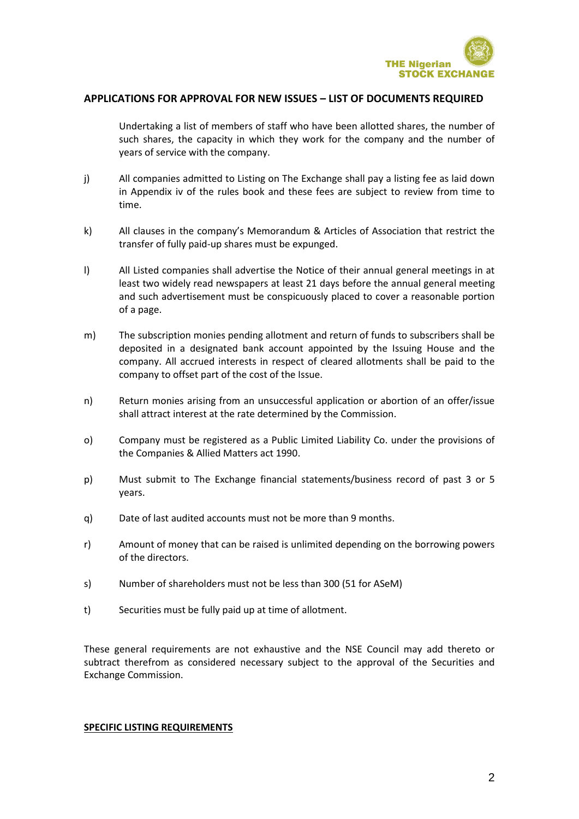

Undertaking a list of members of staff who have been allotted shares, the number of such shares, the capacity in which they work for the company and the number of years of service with the company.

- j) All companies admitted to Listing on The Exchange shall pay a listing fee as laid down in Appendix iv of the rules book and these fees are subject to review from time to time.
- k) All clauses in the company's Memorandum & Articles of Association that restrict the transfer of fully paid-up shares must be expunged.
- l) All Listed companies shall advertise the Notice of their annual general meetings in at least two widely read newspapers at least 21 days before the annual general meeting and such advertisement must be conspicuously placed to cover a reasonable portion of a page.
- m) The subscription monies pending allotment and return of funds to subscribers shall be deposited in a designated bank account appointed by the Issuing House and the company. All accrued interests in respect of cleared allotments shall be paid to the company to offset part of the cost of the Issue.
- n) Return monies arising from an unsuccessful application or abortion of an offer/issue shall attract interest at the rate determined by the Commission.
- o) Company must be registered as a Public Limited Liability Co. under the provisions of the Companies & Allied Matters act 1990.
- p) Must submit to The Exchange financial statements/business record of past 3 or 5 years.
- q) Date of last audited accounts must not be more than 9 months.
- r) Amount of money that can be raised is unlimited depending on the borrowing powers of the directors.
- s) Number of shareholders must not be less than 300 (51 for ASeM)
- t) Securities must be fully paid up at time of allotment.

These general requirements are not exhaustive and the NSE Council may add thereto or subtract therefrom as considered necessary subject to the approval of the Securities and Exchange Commission.

#### **SPECIFIC LISTING REQUIREMENTS**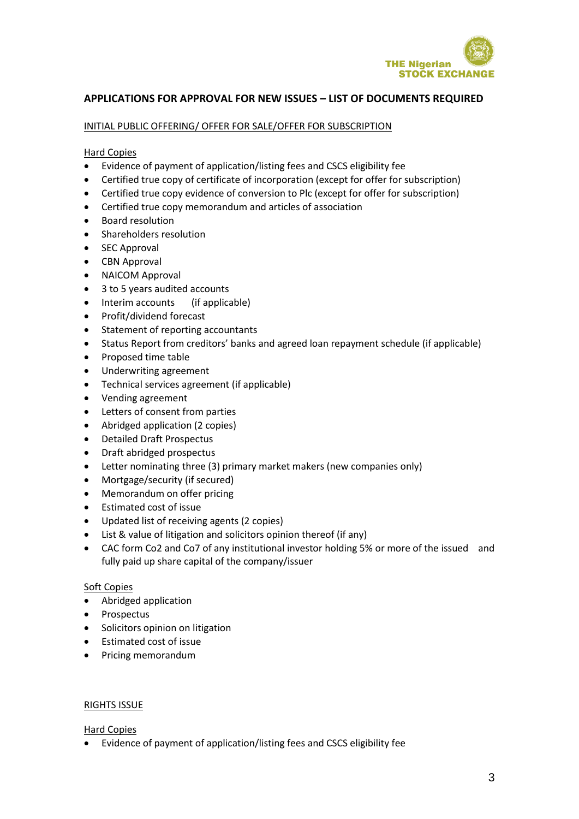

## INITIAL PUBLIC OFFERING/ OFFER FOR SALE/OFFER FOR SUBSCRIPTION

### Hard Copies

- Evidence of payment of application/listing fees and CSCS eligibility fee
- Certified true copy of certificate of incorporation (except for offer for subscription)
- Certified true copy evidence of conversion to Plc (except for offer for subscription)
- Certified true copy memorandum and articles of association
- Board resolution
- Shareholders resolution
- SEC Approval
- CBN Approval
- NAICOM Approval
- 3 to 5 years audited accounts
- Interim accounts (if applicable)
- Profit/dividend forecast
- Statement of reporting accountants
- Status Report from creditors' banks and agreed loan repayment schedule (if applicable)
- Proposed time table
- Underwriting agreement
- Technical services agreement (if applicable)
- Vending agreement
- Letters of consent from parties
- Abridged application (2 copies)
- Detailed Draft Prospectus
- Draft abridged prospectus
- Letter nominating three (3) primary market makers (new companies only)
- Mortgage/security (if secured)
- Memorandum on offer pricing
- Estimated cost of issue
- Updated list of receiving agents (2 copies)
- List & value of litigation and solicitors opinion thereof (if any)
- CAC form Co2 and Co7 of any institutional investor holding 5% or more of the issued and fully paid up share capital of the company/issuer

# Soft Copies

- Abridged application
- Prospectus
- Solicitors opinion on litigation
- Estimated cost of issue
- Pricing memorandum

### RIGHTS ISSUE

# Hard Copies

Evidence of payment of application/listing fees and CSCS eligibility fee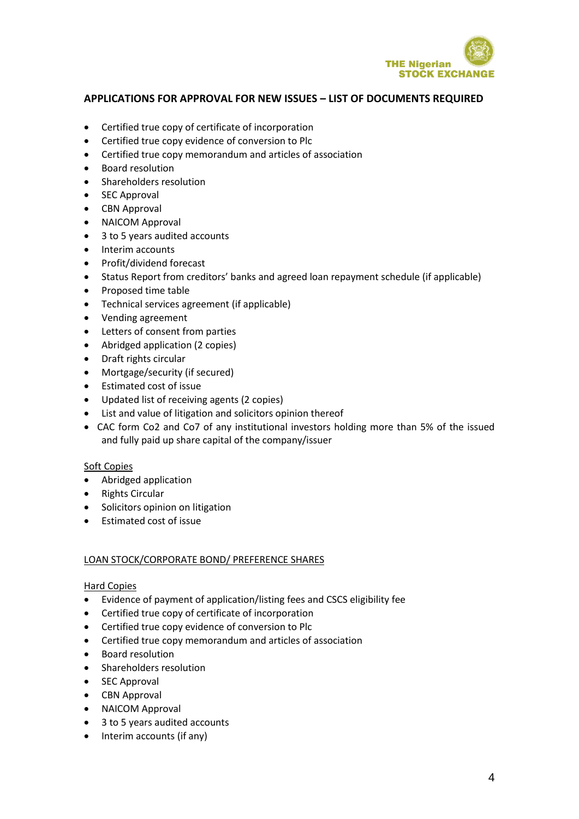

- Certified true copy of certificate of incorporation
- Certified true copy evidence of conversion to Plc
- Certified true copy memorandum and articles of association
- Board resolution
- Shareholders resolution
- SEC Approval
- CBN Approval
- NAICOM Approval
- 3 to 5 years audited accounts
- Interim accounts
- Profit/dividend forecast
- Status Report from creditors' banks and agreed loan repayment schedule (if applicable)
- Proposed time table
- Technical services agreement (if applicable)
- Vending agreement
- Letters of consent from parties
- Abridged application (2 copies)
- Draft rights circular
- Mortgage/security (if secured)
- Estimated cost of issue
- Updated list of receiving agents (2 copies)
- List and value of litigation and solicitors opinion thereof
- CAC form Co2 and Co7 of any institutional investors holding more than 5% of the issued and fully paid up share capital of the company/issuer

### Soft Copies

- Abridged application
- Rights Circular
- Solicitors opinion on litigation
- Estimated cost of issue

### LOAN STOCK/CORPORATE BOND/ PREFERENCE SHARES

- Evidence of payment of application/listing fees and CSCS eligibility fee
- Certified true copy of certificate of incorporation
- Certified true copy evidence of conversion to Plc
- Certified true copy memorandum and articles of association
- Board resolution
- Shareholders resolution
- SEC Approval
- CBN Approval
- NAICOM Approval
- 3 to 5 years audited accounts
- Interim accounts (if any)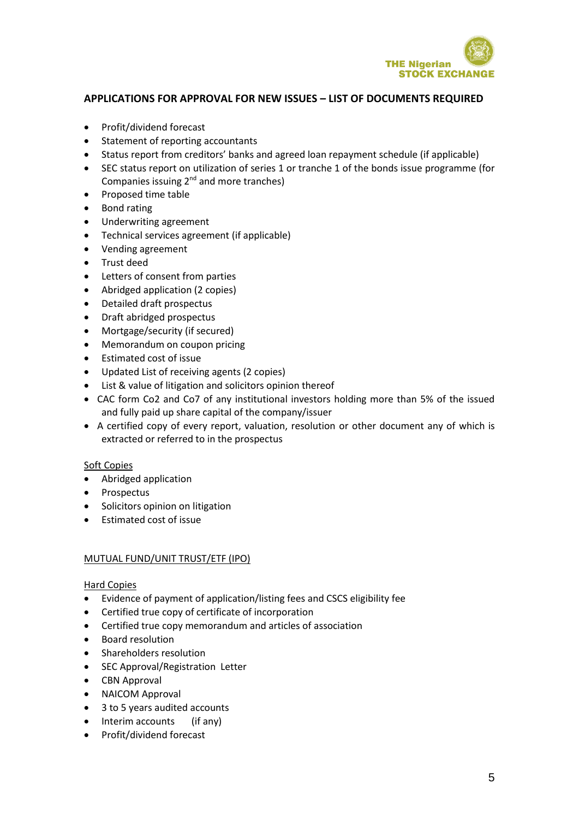

- Profit/dividend forecast
- Statement of reporting accountants
- Status report from creditors' banks and agreed loan repayment schedule (if applicable)
- SEC status report on utilization of series 1 or tranche 1 of the bonds issue programme (for Companies issuing 2nd and more tranches)
- Proposed time table
- Bond rating
- Underwriting agreement
- Technical services agreement (if applicable)
- Vending agreement
- Trust deed
- Letters of consent from parties
- Abridged application (2 copies)
- Detailed draft prospectus
- Draft abridged prospectus
- Mortgage/security (if secured)
- Memorandum on coupon pricing
- Estimated cost of issue
- Updated List of receiving agents (2 copies)
- List & value of litigation and solicitors opinion thereof
- CAC form Co2 and Co7 of any institutional investors holding more than 5% of the issued and fully paid up share capital of the company/issuer
- A certified copy of every report, valuation, resolution or other document any of which is extracted or referred to in the prospectus

### Soft Copies

- Abridged application
- Prospectus
- Solicitors opinion on litigation
- $\bullet$  **Estimated cost of issue**

### MUTUAL FUND/UNIT TRUST/ETF (IPO)

- Evidence of payment of application/listing fees and CSCS eligibility fee
- Certified true copy of certificate of incorporation
- Certified true copy memorandum and articles of association
- Board resolution
- Shareholders resolution
- SEC Approval/Registration Letter
- CBN Approval
- NAICOM Approval
- 3 to 5 years audited accounts
- Interim accounts (if any)
- Profit/dividend forecast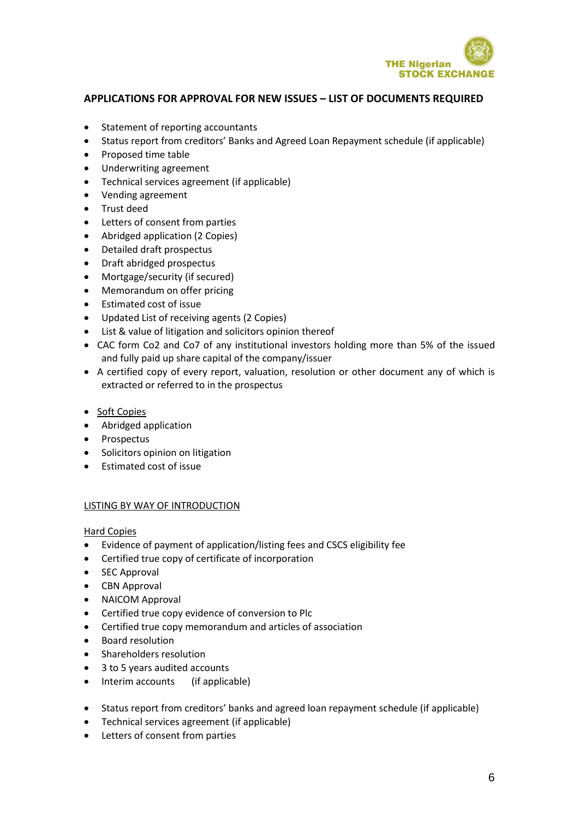

- Statement of reporting accountants
- Status report from creditors' Banks and Agreed Loan Repayment schedule (if applicable)
- Proposed time table
- Underwriting agreement
- Technical services agreement (if applicable)
- Vending agreement
- Trust deed
- Letters of consent from parties
- Abridged application (2 Copies)
- Detailed draft prospectus
- Draft abridged prospectus
- Mortgage/security (if secured)
- Memorandum on offer pricing
- Estimated cost of issue
- Updated List of receiving agents (2 Copies)
- List & value of litigation and solicitors opinion thereof
- CAC form Co2 and Co7 of any institutional investors holding more than 5% of the issued and fully paid up share capital of the company/issuer
- A certified copy of every report, valuation, resolution or other document any of which is extracted or referred to in the prospectus
- Soft Copies
- Abridged application
- Prospectus
- Solicitors opinion on litigation
- Estimated cost of issue

### LISTING BY WAY OF INTRODUCTION

- Evidence of payment of application/listing fees and CSCS eligibility fee
- Certified true copy of certificate of incorporation
- SEC Approval
- CBN Approval
- NAICOM Approval
- Certified true copy evidence of conversion to Plc
- Certified true copy memorandum and articles of association
- **•** Board resolution
- Shareholders resolution
- 3 to 5 years audited accounts
- Interim accounts (if applicable)
- Status report from creditors' banks and agreed loan repayment schedule (if applicable)
- Technical services agreement (if applicable)
- Letters of consent from parties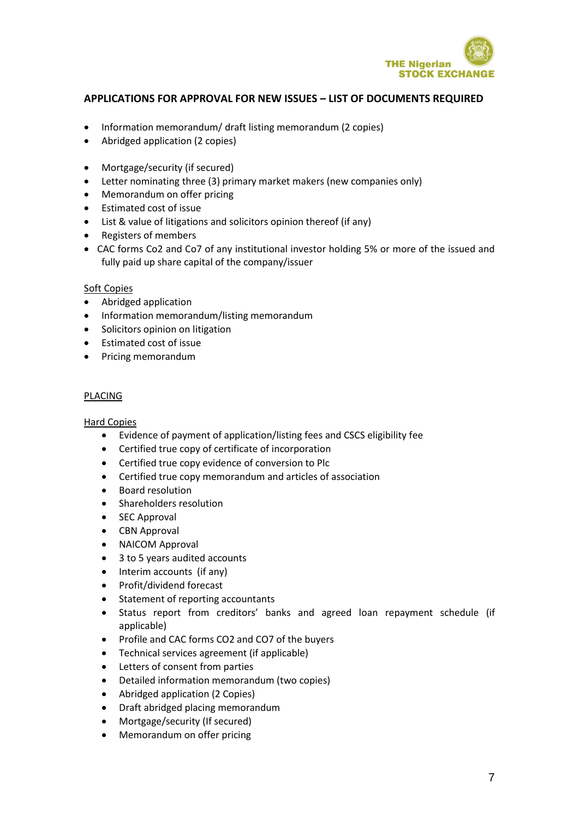

- Information memorandum/ draft listing memorandum (2 copies)
- Abridged application (2 copies)
- Mortgage/security (if secured)
- Letter nominating three (3) primary market makers (new companies only)
- Memorandum on offer pricing
- Estimated cost of issue
- List & value of litigations and solicitors opinion thereof (if any)
- Registers of members
- CAC forms Co2 and Co7 of any institutional investor holding 5% or more of the issued and fully paid up share capital of the company/issuer

### Soft Copies

- Abridged application
- Information memorandum/listing memorandum
- Solicitors opinion on litigation
- Estimated cost of issue
- Pricing memorandum

### PLACING

- Evidence of payment of application/listing fees and CSCS eligibility fee
- Certified true copy of certificate of incorporation
- Certified true copy evidence of conversion to Plc
- Certified true copy memorandum and articles of association
- Board resolution
- Shareholders resolution
- SEC Approval
- CBN Approval
- NAICOM Approval
- 3 to 5 years audited accounts
- Interim accounts (if any)
- Profit/dividend forecast
- Statement of reporting accountants
- Status report from creditors' banks and agreed loan repayment schedule (if applicable)
- Profile and CAC forms CO2 and CO7 of the buyers
- Technical services agreement (if applicable)
- Letters of consent from parties
- Detailed information memorandum (two copies)
- Abridged application (2 Copies)
- Draft abridged placing memorandum
- Mortgage/security (If secured)
- Memorandum on offer pricing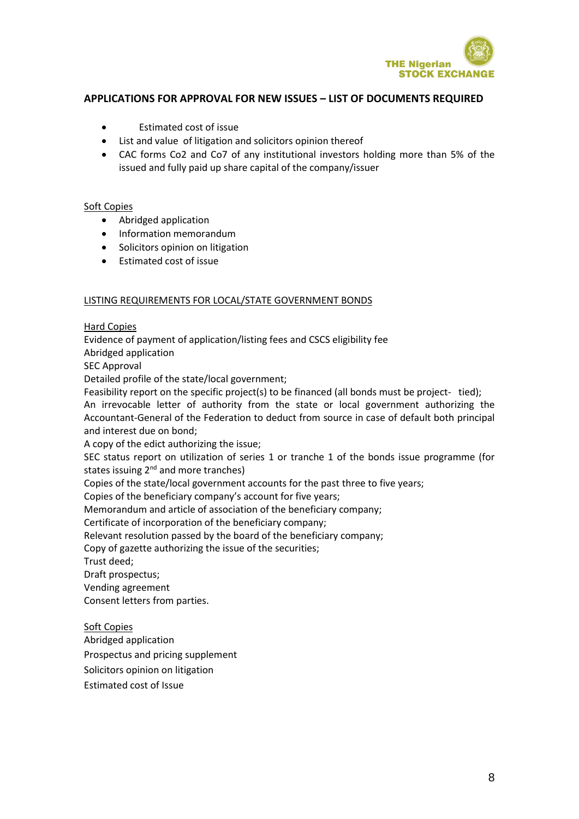

- Estimated cost of issue
- List and value of litigation and solicitors opinion thereof
- CAC forms Co2 and Co7 of any institutional investors holding more than 5% of the issued and fully paid up share capital of the company/issuer

### Soft Copies

- Abridged application
- Information memorandum
- Solicitors opinion on litigation
- Estimated cost of issue

#### LISTING REQUIREMENTS FOR LOCAL/STATE GOVERNMENT BONDS

### Hard Copies

Evidence of payment of application/listing fees and CSCS eligibility fee

Abridged application

SEC Approval

Detailed profile of the state/local government;

Feasibility report on the specific project(s) to be financed (all bonds must be project- tied);

An irrevocable letter of authority from the state or local government authorizing the Accountant-General of the Federation to deduct from source in case of default both principal and interest due on bond;

A copy of the edict authorizing the issue;

SEC status report on utilization of series 1 or tranche 1 of the bonds issue programme (for states issuing 2<sup>nd</sup> and more tranches)

Copies of the state/local government accounts for the past three to five years;

Copies of the beneficiary company's account for five years;

Memorandum and article of association of the beneficiary company;

Certificate of incorporation of the beneficiary company;

Relevant resolution passed by the board of the beneficiary company;

Copy of gazette authorizing the issue of the securities;

Trust deed;

Draft prospectus;

Vending agreement

Consent letters from parties.

### Soft Copies

Abridged application

Prospectus and pricing supplement

Solicitors opinion on litigation

Estimated cost of Issue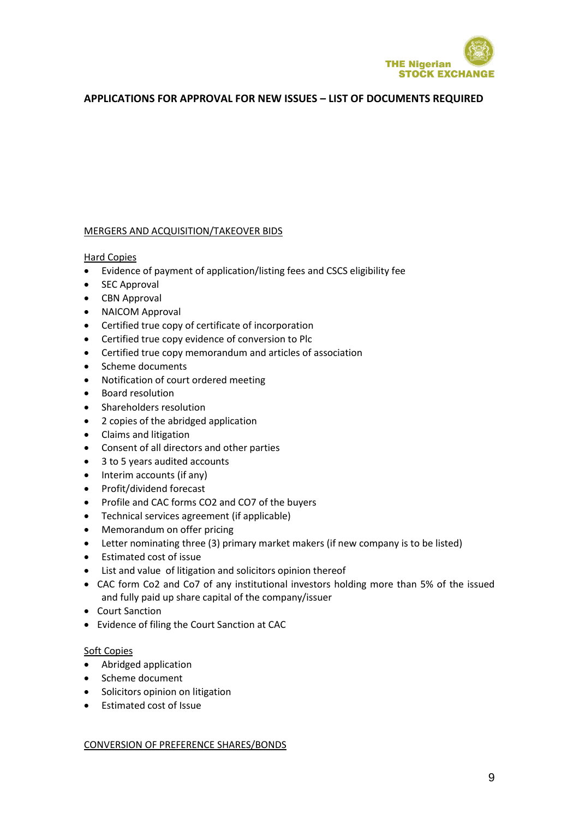

#### MERGERS AND ACQUISITION/TAKEOVER BIDS

Hard Copies

- Evidence of payment of application/listing fees and CSCS eligibility fee
- SEC Approval
- CBN Approval
- NAICOM Approval
- Certified true copy of certificate of incorporation
- Certified true copy evidence of conversion to Plc
- Certified true copy memorandum and articles of association
- Scheme documents
- Notification of court ordered meeting
- Board resolution
- Shareholders resolution
- 2 copies of the abridged application
- Claims and litigation
- Consent of all directors and other parties
- 3 to 5 years audited accounts
- Interim accounts (if any)
- Profit/dividend forecast
- Profile and CAC forms CO2 and CO7 of the buyers
- Technical services agreement (if applicable)
- Memorandum on offer pricing
- Letter nominating three (3) primary market makers (if new company is to be listed)
- Estimated cost of issue
- List and value of litigation and solicitors opinion thereof
- CAC form Co2 and Co7 of any institutional investors holding more than 5% of the issued and fully paid up share capital of the company/issuer
- Court Sanction
- Evidence of filing the Court Sanction at CAC

### Soft Copies

- Abridged application
- Scheme document
- Solicitors opinion on litigation
- Estimated cost of Issue

### CONVERSION OF PREFERENCE SHARES/BONDS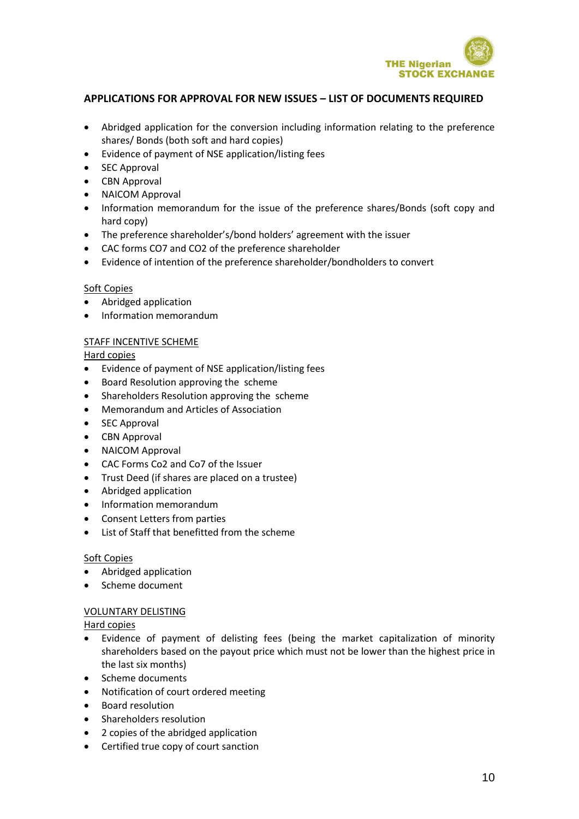

- Abridged application for the conversion including information relating to the preference shares/ Bonds (both soft and hard copies)
- Evidence of payment of NSE application/listing fees
- SEC Approval
- CBN Approval
- NAICOM Approval
- Information memorandum for the issue of the preference shares/Bonds (soft copy and hard copy)
- The preference shareholder's/bond holders' agreement with the issuer
- CAC forms CO7 and CO2 of the preference shareholder
- Evidence of intention of the preference shareholder/bondholders to convert

### Soft Copies

- Abridged application
- Information memorandum

### STAFF INCENTIVE SCHEME

Hard copies

- Evidence of payment of NSE application/listing fees
- Board Resolution approving the scheme
- Shareholders Resolution approving the scheme
- Memorandum and Articles of Association
- SEC Approval
- CBN Approval
- NAICOM Approval
- CAC Forms Co2 and Co7 of the Issuer
- Trust Deed (if shares are placed on a trustee)
- Abridged application
- Information memorandum
- Consent Letters from parties
- List of Staff that benefitted from the scheme

### Soft Copies

- Abridged application
- Scheme document

### VOLUNTARY DELISTING

- Evidence of payment of delisting fees (being the market capitalization of minority shareholders based on the payout price which must not be lower than the highest price in the last six months)
- Scheme documents
- Notification of court ordered meeting
- Board resolution
- Shareholders resolution
- 2 copies of the abridged application
- Certified true copy of court sanction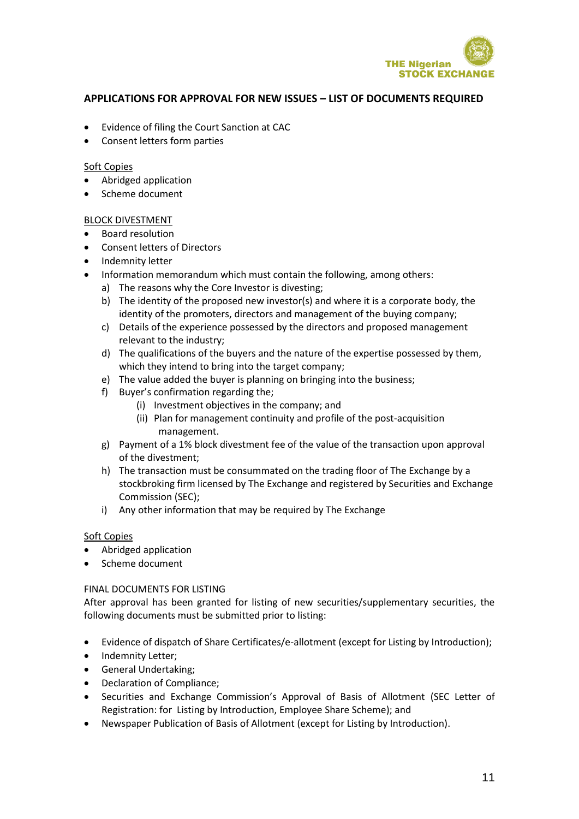

- Evidence of filing the Court Sanction at CAC
- Consent letters form parties

### Soft Copies

- Abridged application
- Scheme document

## BLOCK DIVESTMENT

- Board resolution
- Consent letters of Directors
- Indemnity letter
- Information memorandum which must contain the following, among others:
	- a) The reasons why the Core Investor is divesting;
	- b) The identity of the proposed new investor(s) and where it is a corporate body, the identity of the promoters, directors and management of the buying company;
	- c) Details of the experience possessed by the directors and proposed management relevant to the industry;
	- d) The qualifications of the buyers and the nature of the expertise possessed by them, which they intend to bring into the target company;
	- e) The value added the buyer is planning on bringing into the business;
	- f) Buyer's confirmation regarding the;
		- (i) Investment objectives in the company; and
		- (ii) Plan for management continuity and profile of the post-acquisition management.
	- g) Payment of a 1% block divestment fee of the value of the transaction upon approval of the divestment;
	- h) The transaction must be consummated on the trading floor of The Exchange by a stockbroking firm licensed by The Exchange and registered by Securities and Exchange Commission (SEC);
	- i) Any other information that may be required by The Exchange

### Soft Copies

- Abridged application
- Scheme document

### FINAL DOCUMENTS FOR LISTING

After approval has been granted for listing of new securities/supplementary securities, the following documents must be submitted prior to listing:

- Evidence of dispatch of Share Certificates/e-allotment (except for Listing by Introduction);
- Indemnity Letter;
- General Undertaking;
- Declaration of Compliance;
- Securities and Exchange Commission's Approval of Basis of Allotment (SEC Letter of Registration: for Listing by Introduction, Employee Share Scheme); and
- Newspaper Publication of Basis of Allotment (except for Listing by Introduction).